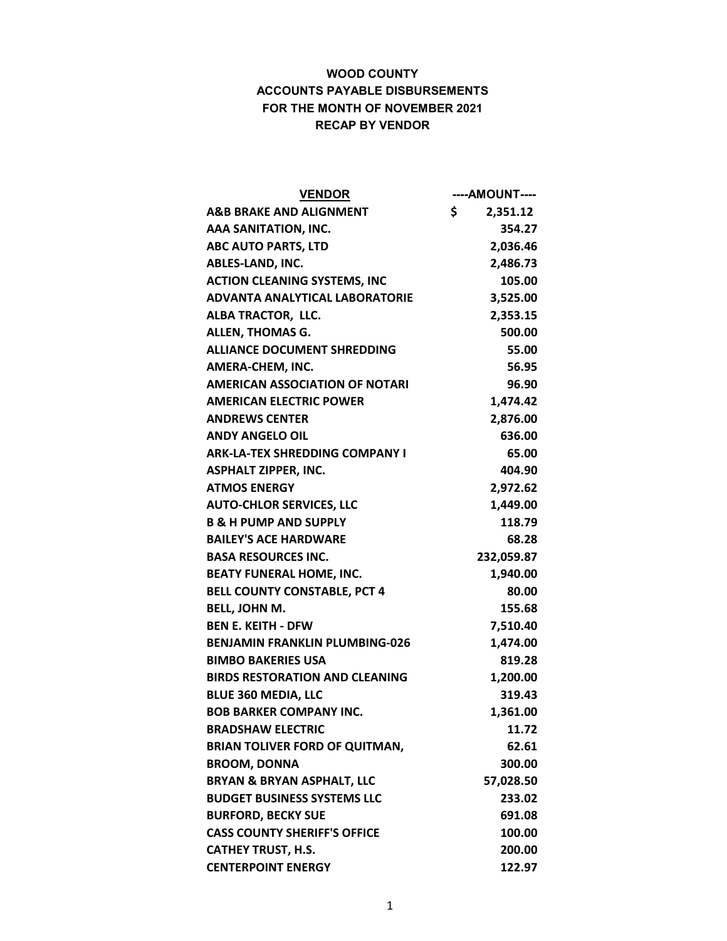| <b>VENDOR</b>                         | ----AMOUNT---- |
|---------------------------------------|----------------|
| <b>A&amp;B BRAKE AND ALIGNMENT</b>    | \$<br>2,351.12 |
| AAA SANITATION, INC.                  | 354.27         |
| <b>ABC AUTO PARTS, LTD</b>            | 2,036.46       |
| ABLES-LAND, INC.                      | 2,486.73       |
| <b>ACTION CLEANING SYSTEMS, INC</b>   | 105.00         |
| <b>ADVANTA ANALYTICAL LABORATORIE</b> | 3,525.00       |
| ALBA TRACTOR, LLC.                    | 2,353.15       |
| <b>ALLEN, THOMAS G.</b>               | 500.00         |
| <b>ALLIANCE DOCUMENT SHREDDING</b>    | 55.00          |
| AMERA-CHEM, INC.                      | 56.95          |
| <b>AMERICAN ASSOCIATION OF NOTARI</b> | 96.90          |
| <b>AMERICAN ELECTRIC POWER</b>        | 1,474.42       |
| <b>ANDREWS CENTER</b>                 | 2,876.00       |
| <b>ANDY ANGELO OIL</b>                | 636.00         |
| <b>ARK-LA-TEX SHREDDING COMPANY I</b> | 65.00          |
| <b>ASPHALT ZIPPER, INC.</b>           | 404.90         |
| <b>ATMOS ENERGY</b>                   | 2,972.62       |
| <b>AUTO-CHLOR SERVICES, LLC</b>       | 1,449.00       |
| <b>B &amp; H PUMP AND SUPPLY</b>      | 118.79         |
| <b>BAILEY'S ACE HARDWARE</b>          | 68.28          |
| <b>BASA RESOURCES INC.</b>            | 232,059.87     |
| <b>BEATY FUNERAL HOME, INC.</b>       | 1,940.00       |
| <b>BELL COUNTY CONSTABLE, PCT 4</b>   | 80.00          |
| <b>BELL, JOHN M.</b>                  | 155.68         |
| <b>BEN E. KEITH - DFW</b>             | 7,510.40       |
| <b>BENJAMIN FRANKLIN PLUMBING-026</b> | 1,474.00       |
| <b>BIMBO BAKERIES USA</b>             | 819.28         |
| <b>BIRDS RESTORATION AND CLEANING</b> | 1,200.00       |
| <b>BLUE 360 MEDIA, LLC</b>            | 319.43         |
| <b>BOB BARKER COMPANY INC.</b>        | 1,361.00       |
| <b>BRADSHAW ELECTRIC</b>              | 11.72          |
| <b>BRIAN TOLIVER FORD OF QUITMAN,</b> | 62.61          |
| <b>BROOM, DONNA</b>                   | 300.00         |
| <b>BRYAN &amp; BRYAN ASPHALT, LLC</b> | 57,028.50      |
| <b>BUDGET BUSINESS SYSTEMS LLC</b>    | 233.02         |
| <b>BURFORD, BECKY SUE</b>             | 691.08         |
| <b>CASS COUNTY SHERIFF'S OFFICE</b>   | 100.00         |
| <b>CATHEY TRUST, H.S.</b>             | 200.00         |
| <b>CENTERPOINT ENERGY</b>             | 122.97         |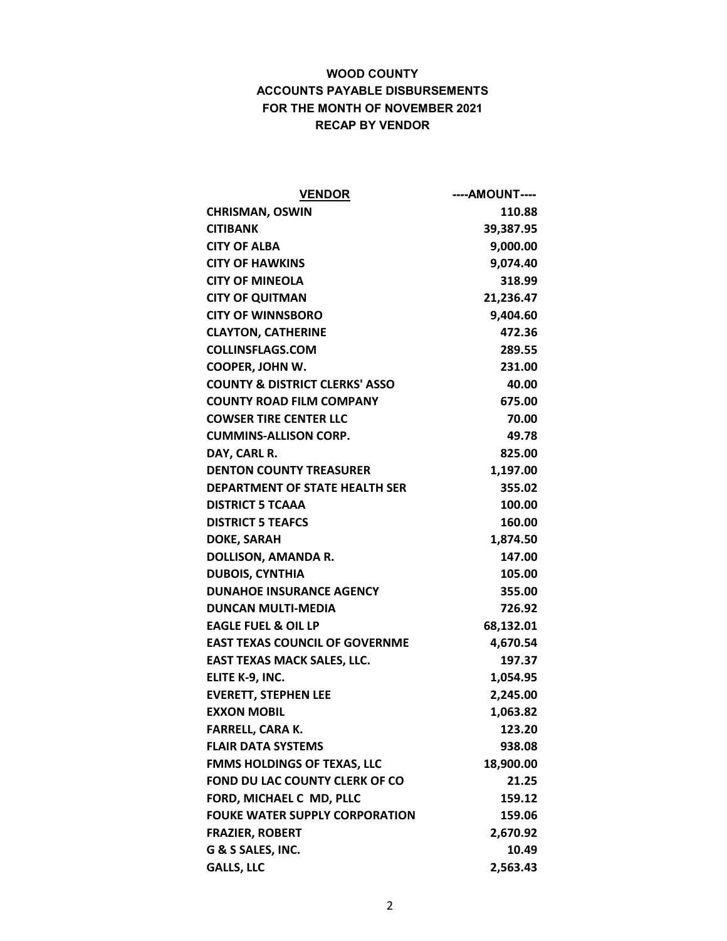| <b>VENDOR</b>                             | ----AMOUNT---- |
|-------------------------------------------|----------------|
| <b>CHRISMAN, OSWIN</b>                    | 110.88         |
| <b>CITIBANK</b>                           | 39,387.95      |
| <b>CITY OF ALBA</b>                       | 9,000.00       |
| <b>CITY OF HAWKINS</b>                    | 9,074.40       |
| <b>CITY OF MINEOLA</b>                    | 318.99         |
| <b>CITY OF QUITMAN</b>                    | 21,236.47      |
| <b>CITY OF WINNSBORO</b>                  | 9,404.60       |
| <b>CLAYTON, CATHERINE</b>                 | 472.36         |
| <b>COLLINSFLAGS.COM</b>                   | 289.55         |
| <b>COOPER, JOHN W.</b>                    | 231.00         |
| <b>COUNTY &amp; DISTRICT CLERKS' ASSO</b> | 40.00          |
| <b>COUNTY ROAD FILM COMPANY</b>           | 675.00         |
| <b>COWSER TIRE CENTER LLC</b>             | 70.00          |
| <b>CUMMINS-ALLISON CORP.</b>              | 49.78          |
| DAY, CARL R.                              | 825.00         |
| <b>DENTON COUNTY TREASURER</b>            | 1,197.00       |
| <b>DEPARTMENT OF STATE HEALTH SER</b>     | 355.02         |
| <b>DISTRICT 5 TCAAA</b>                   | 100.00         |
| <b>DISTRICT 5 TEAFCS</b>                  | 160.00         |
| <b>DOKE, SARAH</b>                        | 1,874.50       |
| <b>DOLLISON, AMANDA R.</b>                | 147.00         |
| <b>DUBOIS, CYNTHIA</b>                    | 105.00         |
| <b>DUNAHOE INSURANCE AGENCY</b>           | 355.00         |
| <b>DUNCAN MULTI-MEDIA</b>                 | 726.92         |
| <b>EAGLE FUEL &amp; OIL LP</b>            | 68,132.01      |
| <b>EAST TEXAS COUNCIL OF GOVERNME</b>     | 4,670.54       |
| <b>EAST TEXAS MACK SALES, LLC.</b>        | 197.37         |
| ELITE K-9, INC.                           | 1,054.95       |
| <b>EVERETT, STEPHEN LEE</b>               | 2,245.00       |
| <b>EXXON MOBIL</b>                        | 1,063.82       |
| <b>FARRELL, CARA K.</b>                   | 123.20         |
| <b>FLAIR DATA SYSTEMS</b>                 | 938.08         |
| <b>FMMS HOLDINGS OF TEXAS, LLC</b>        | 18,900.00      |
| FOND DU LAC COUNTY CLERK OF CO            | 21.25          |
| FORD, MICHAEL C MD, PLLC                  | 159.12         |
| <b>FOUKE WATER SUPPLY CORPORATION</b>     | 159.06         |
| <b>FRAZIER, ROBERT</b>                    | 2,670.92       |
| G & S SALES, INC.                         | 10.49          |
| <b>GALLS, LLC</b>                         | 2,563.43       |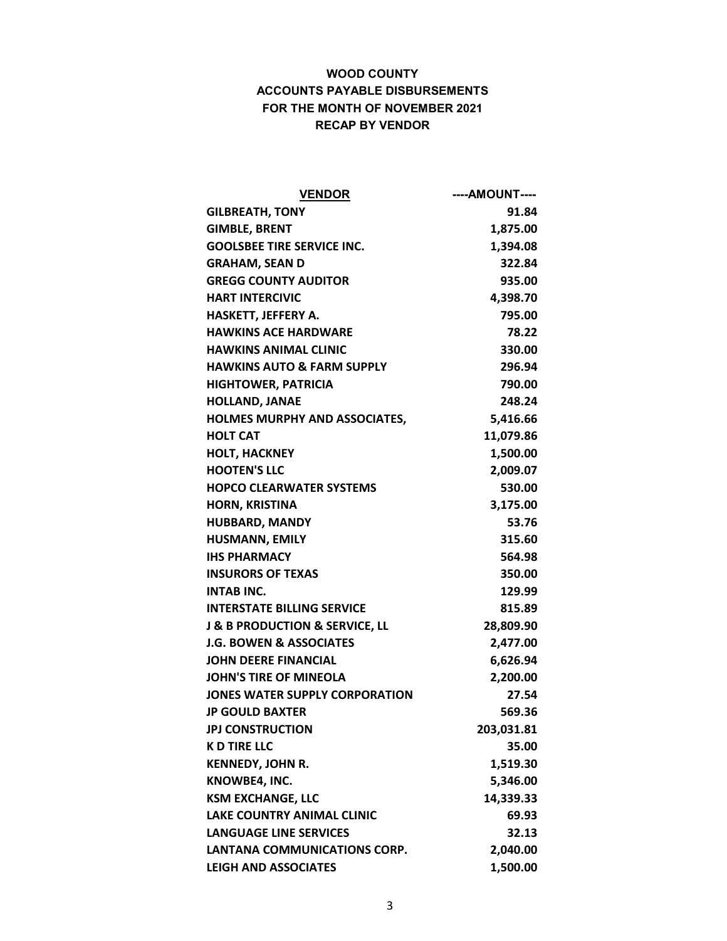| <b>VENDOR</b>                                 | ----AMOUNT---- |
|-----------------------------------------------|----------------|
| <b>GILBREATH, TONY</b>                        | 91.84          |
| <b>GIMBLE, BRENT</b>                          | 1,875.00       |
| <b>GOOLSBEE TIRE SERVICE INC.</b>             | 1,394.08       |
| <b>GRAHAM, SEAN D</b>                         | 322.84         |
| <b>GREGG COUNTY AUDITOR</b>                   | 935.00         |
| <b>HART INTERCIVIC</b>                        | 4,398.70       |
| HASKETT, JEFFERY A.                           | 795.00         |
| <b>HAWKINS ACE HARDWARE</b>                   | 78.22          |
| <b>HAWKINS ANIMAL CLINIC</b>                  | 330.00         |
| <b>HAWKINS AUTO &amp; FARM SUPPLY</b>         | 296.94         |
| <b>HIGHTOWER, PATRICIA</b>                    | 790.00         |
| <b>HOLLAND, JANAE</b>                         | 248.24         |
| <b>HOLMES MURPHY AND ASSOCIATES,</b>          | 5,416.66       |
| <b>HOLT CAT</b>                               | 11,079.86      |
| <b>HOLT, HACKNEY</b>                          | 1,500.00       |
| <b>HOOTEN'S LLC</b>                           | 2,009.07       |
| <b>HOPCO CLEARWATER SYSTEMS</b>               | 530.00         |
| <b>HORN, KRISTINA</b>                         | 3,175.00       |
| <b>HUBBARD, MANDY</b>                         | 53.76          |
| <b>HUSMANN, EMILY</b>                         | 315.60         |
| <b>IHS PHARMACY</b>                           | 564.98         |
| <b>INSURORS OF TEXAS</b>                      | 350.00         |
| <b>INTAB INC.</b>                             | 129.99         |
| <b>INTERSTATE BILLING SERVICE</b>             | 815.89         |
| <b>J &amp; B PRODUCTION &amp; SERVICE, LL</b> | 28,809.90      |
| <b>J.G. BOWEN &amp; ASSOCIATES</b>            | 2,477.00       |
| <b>JOHN DEERE FINANCIAL</b>                   | 6,626.94       |
| <b>JOHN'S TIRE OF MINEOLA</b>                 | 2,200.00       |
| JONES WATER SUPPLY CORPORATION                | 27.54          |
| <b>JP GOULD BAXTER</b>                        | 569.36         |
| <b>JPJ CONSTRUCTION</b>                       | 203,031.81     |
| <b>K D TIRE LLC</b>                           | 35.00          |
| <b>KENNEDY, JOHN R.</b>                       | 1,519.30       |
| KNOWBE4, INC.                                 | 5,346.00       |
| <b>KSM EXCHANGE, LLC</b>                      | 14,339.33      |
| <b>LAKE COUNTRY ANIMAL CLINIC</b>             | 69.93          |
| <b>LANGUAGE LINE SERVICES</b>                 | 32.13          |
| LANTANA COMMUNICATIONS CORP.                  | 2,040.00       |
| <b>LEIGH AND ASSOCIATES</b>                   | 1,500.00       |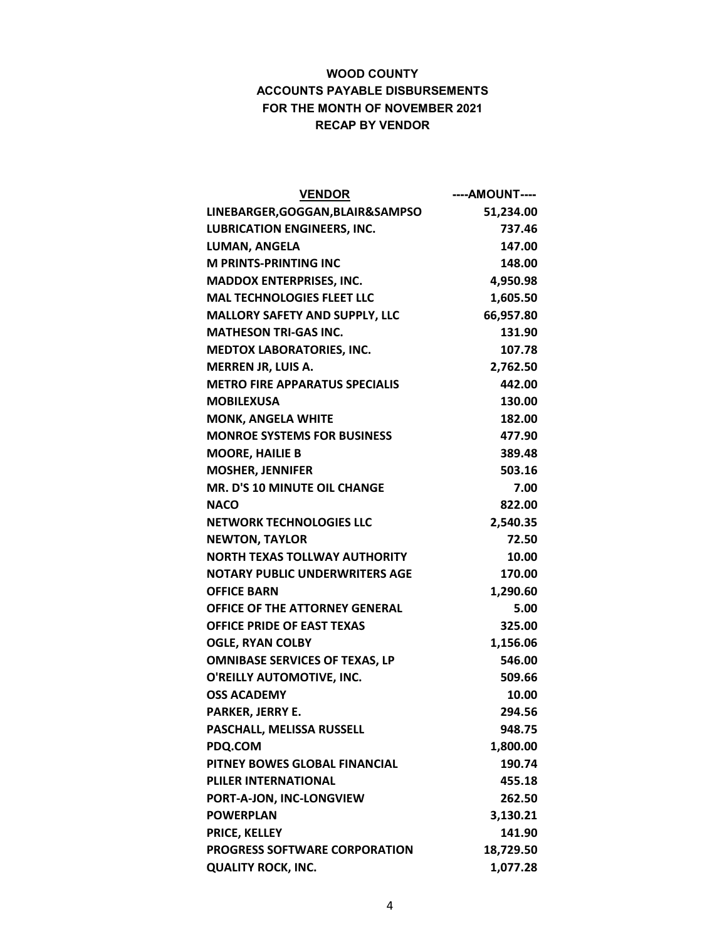| <b>VENDOR</b>                         | ----AMOUNT---- |
|---------------------------------------|----------------|
| LINEBARGER, GOGGAN, BLAIR&SAMPSO      | 51,234.00      |
| <b>LUBRICATION ENGINEERS, INC.</b>    | 737.46         |
| <b>LUMAN, ANGELA</b>                  | 147.00         |
| <b>M PRINTS-PRINTING INC</b>          | 148.00         |
| <b>MADDOX ENTERPRISES, INC.</b>       | 4,950.98       |
| <b>MAL TECHNOLOGIES FLEET LLC</b>     | 1,605.50       |
| <b>MALLORY SAFETY AND SUPPLY, LLC</b> | 66,957.80      |
| <b>MATHESON TRI-GAS INC.</b>          | 131.90         |
| <b>MEDTOX LABORATORIES, INC.</b>      | 107.78         |
| <b>MERREN JR, LUIS A.</b>             | 2,762.50       |
| <b>METRO FIRE APPARATUS SPECIALIS</b> | 442.00         |
| <b>MOBILEXUSA</b>                     | 130.00         |
| <b>MONK, ANGELA WHITE</b>             | 182.00         |
| <b>MONROE SYSTEMS FOR BUSINESS</b>    | 477.90         |
| <b>MOORE, HAILIE B</b>                | 389.48         |
| <b>MOSHER, JENNIFER</b>               | 503.16         |
| MR. D'S 10 MINUTE OIL CHANGE          | 7.00           |
| <b>NACO</b>                           | 822.00         |
| <b>NETWORK TECHNOLOGIES LLC</b>       | 2,540.35       |
| <b>NEWTON, TAYLOR</b>                 | 72.50          |
| <b>NORTH TEXAS TOLLWAY AUTHORITY</b>  | 10.00          |
| <b>NOTARY PUBLIC UNDERWRITERS AGE</b> | 170.00         |
| <b>OFFICE BARN</b>                    | 1,290.60       |
| <b>OFFICE OF THE ATTORNEY GENERAL</b> | 5.00           |
| <b>OFFICE PRIDE OF EAST TEXAS</b>     | 325.00         |
| <b>OGLE, RYAN COLBY</b>               | 1,156.06       |
| <b>OMNIBASE SERVICES OF TEXAS, LP</b> | 546.00         |
| O'REILLY AUTOMOTIVE, INC.             | 509.66         |
| <b>OSS ACADEMY</b>                    | 10.00          |
| PARKER, JERRY E.                      | 294.56         |
| PASCHALL, MELISSA RUSSELL             | 948.75         |
| PDQ.COM                               | 1,800.00       |
| PITNEY BOWES GLOBAL FINANCIAL         | 190.74         |
| PLILER INTERNATIONAL                  | 455.18         |
| PORT-A-JON, INC-LONGVIEW              | 262.50         |
| <b>POWERPLAN</b>                      | 3,130.21       |
| PRICE, KELLEY                         | 141.90         |
| <b>PROGRESS SOFTWARE CORPORATION</b>  | 18,729.50      |
| <b>QUALITY ROCK, INC.</b>             | 1,077.28       |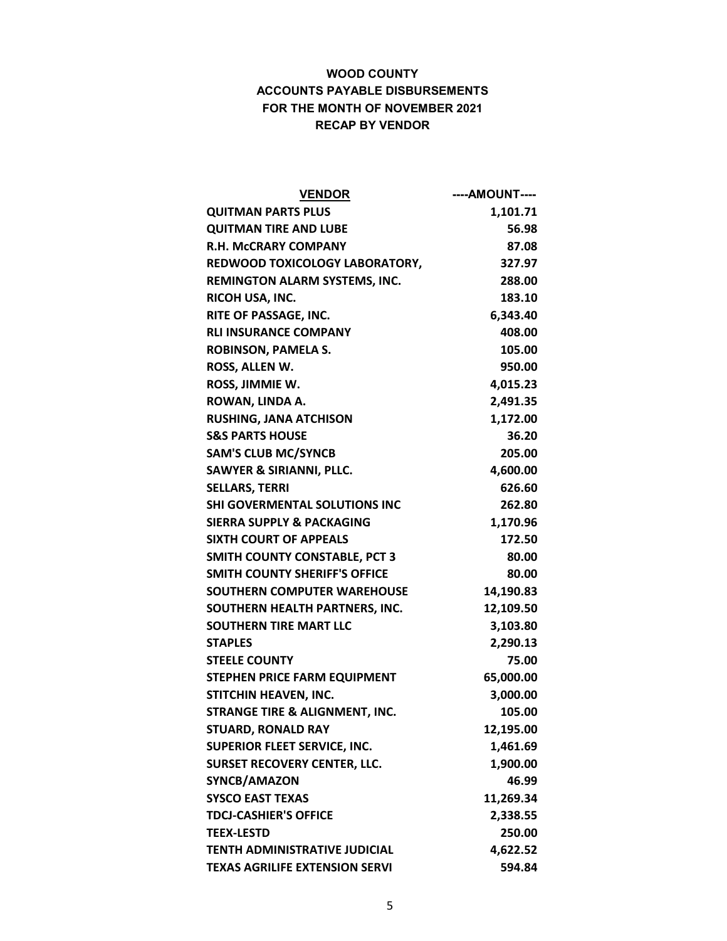| <b>VENDOR</b>                             | ----AMOUNT---- |
|-------------------------------------------|----------------|
| <b>QUITMAN PARTS PLUS</b>                 | 1,101.71       |
| <b>QUITMAN TIRE AND LUBE</b>              | 56.98          |
| <b>R.H. MCCRARY COMPANY</b>               | 87.08          |
| REDWOOD TOXICOLOGY LABORATORY,            | 327.97         |
| <b>REMINGTON ALARM SYSTEMS, INC.</b>      | 288.00         |
| RICOH USA, INC.                           | 183.10         |
| RITE OF PASSAGE, INC.                     | 6,343.40       |
| <b>RLI INSURANCE COMPANY</b>              | 408.00         |
| <b>ROBINSON, PAMELA S.</b>                | 105.00         |
| ROSS, ALLEN W.                            | 950.00         |
| ROSS, JIMMIE W.                           | 4,015.23       |
| ROWAN, LINDA A.                           | 2,491.35       |
| <b>RUSHING, JANA ATCHISON</b>             | 1,172.00       |
| <b>S&amp;S PARTS HOUSE</b>                | 36.20          |
| <b>SAM'S CLUB MC/SYNCB</b>                | 205.00         |
| <b>SAWYER &amp; SIRIANNI, PLLC.</b>       | 4,600.00       |
| <b>SELLARS, TERRI</b>                     | 626.60         |
| <b>SHI GOVERMENTAL SOLUTIONS INC</b>      | 262.80         |
| <b>SIERRA SUPPLY &amp; PACKAGING</b>      | 1,170.96       |
| <b>SIXTH COURT OF APPEALS</b>             | 172.50         |
| <b>SMITH COUNTY CONSTABLE, PCT 3</b>      | 80.00          |
| <b>SMITH COUNTY SHERIFF'S OFFICE</b>      | 80.00          |
| <b>SOUTHERN COMPUTER WAREHOUSE</b>        | 14,190.83      |
| SOUTHERN HEALTH PARTNERS, INC.            | 12,109.50      |
| <b>SOUTHERN TIRE MART LLC</b>             | 3,103.80       |
| <b>STAPLES</b>                            | 2,290.13       |
| <b>STEELE COUNTY</b>                      | 75.00          |
| STEPHEN PRICE FARM EQUIPMENT              | 65,000.00      |
| STITCHIN HEAVEN, INC.                     | 3,000.00       |
| <b>STRANGE TIRE &amp; ALIGNMENT, INC.</b> | 105.00         |
| <b>STUARD, RONALD RAY</b>                 | 12,195.00      |
| <b>SUPERIOR FLEET SERVICE, INC.</b>       | 1,461.69       |
| <b>SURSET RECOVERY CENTER, LLC.</b>       | 1,900.00       |
| SYNCB/AMAZON                              | 46.99          |
| <b>SYSCO EAST TEXAS</b>                   | 11,269.34      |
| <b>TDCJ-CASHIER'S OFFICE</b>              | 2,338.55       |
| <b>TEEX-LESTD</b>                         | 250.00         |
| <b>TENTH ADMINISTRATIVE JUDICIAL</b>      | 4,622.52       |
| <b>TEXAS AGRILIFE EXTENSION SERVI</b>     | 594.84         |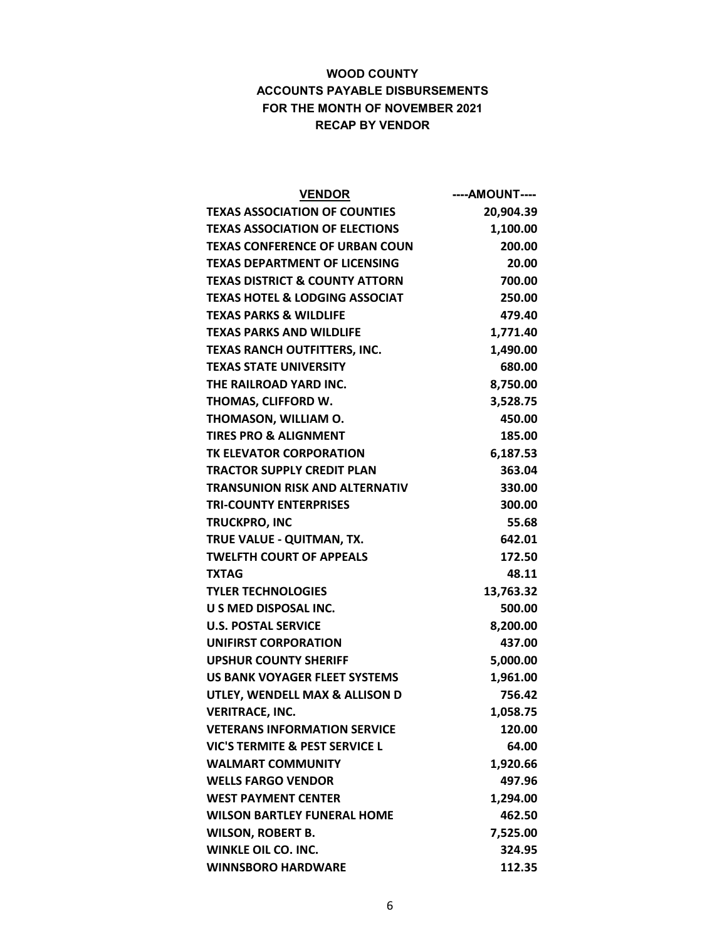| <b>VENDOR</b>                             | ----AMOUNT---- |
|-------------------------------------------|----------------|
| <b>TEXAS ASSOCIATION OF COUNTIES</b>      | 20,904.39      |
| <b>TEXAS ASSOCIATION OF ELECTIONS</b>     | 1,100.00       |
| <b>TEXAS CONFERENCE OF URBAN COUN</b>     | 200.00         |
| <b>TEXAS DEPARTMENT OF LICENSING</b>      | 20.00          |
| <b>TEXAS DISTRICT &amp; COUNTY ATTORN</b> | 700.00         |
| <b>TEXAS HOTEL &amp; LODGING ASSOCIAT</b> | 250.00         |
| <b>TEXAS PARKS &amp; WILDLIFE</b>         | 479.40         |
| <b>TEXAS PARKS AND WILDLIFE</b>           | 1,771.40       |
| <b>TEXAS RANCH OUTFITTERS, INC.</b>       | 1,490.00       |
| <b>TEXAS STATE UNIVERSITY</b>             | 680.00         |
| THE RAILROAD YARD INC.                    | 8,750.00       |
| THOMAS, CLIFFORD W.                       | 3,528.75       |
| THOMASON, WILLIAM O.                      | 450.00         |
| <b>TIRES PRO &amp; ALIGNMENT</b>          | 185.00         |
| TK ELEVATOR CORPORATION                   | 6,187.53       |
| <b>TRACTOR SUPPLY CREDIT PLAN</b>         | 363.04         |
| <b>TRANSUNION RISK AND ALTERNATIV</b>     | 330.00         |
| <b>TRI-COUNTY ENTERPRISES</b>             | 300.00         |
| <b>TRUCKPRO, INC</b>                      | 55.68          |
| TRUE VALUE - QUITMAN, TX.                 | 642.01         |
| <b>TWELFTH COURT OF APPEALS</b>           | 172.50         |
| <b>TXTAG</b>                              | 48.11          |
| <b>TYLER TECHNOLOGIES</b>                 | 13,763.32      |
| <b>U S MED DISPOSAL INC.</b>              | 500.00         |
| <b>U.S. POSTAL SERVICE</b>                | 8,200.00       |
| <b>UNIFIRST CORPORATION</b>               | 437.00         |
| <b>UPSHUR COUNTY SHERIFF</b>              | 5,000.00       |
| US BANK VOYAGER FLEET SYSTEMS             | 1,961.00       |
| UTLEY, WENDELL MAX & ALLISON D            | 756.42         |
| <b>VERITRACE, INC.</b>                    | 1,058.75       |
| <b>VETERANS INFORMATION SERVICE</b>       | 120.00         |
| VIC'S TERMITE & PEST SERVICE L            | 64.00          |
| <b>WALMART COMMUNITY</b>                  | 1,920.66       |
| <b>WELLS FARGO VENDOR</b>                 | 497.96         |
| <b>WEST PAYMENT CENTER</b>                | 1,294.00       |
| <b>WILSON BARTLEY FUNERAL HOME</b>        | 462.50         |
| <b>WILSON, ROBERT B.</b>                  | 7,525.00       |
| <b>WINKLE OIL CO. INC.</b>                | 324.95         |
| <b>WINNSBORO HARDWARE</b>                 | 112.35         |